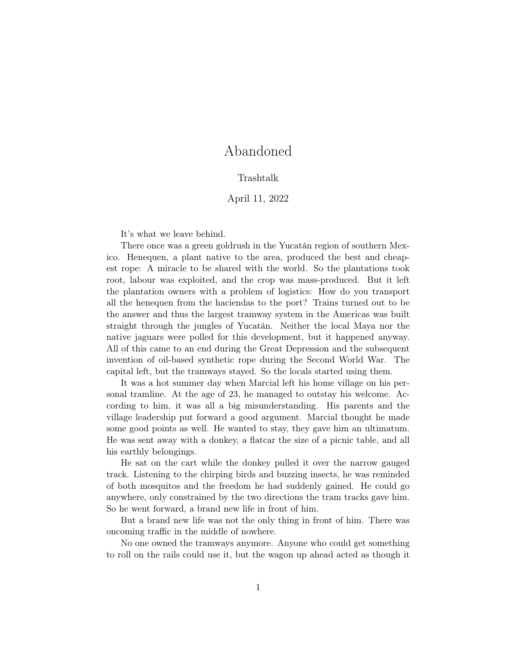## Abandoned

## Trashtalk

## April 11, 2022

It's what we leave behind.

There once was a green goldrush in the Yucatán region of southern Mexico. Henequen, a plant native to the area, produced the best and cheapest rope: A miracle to be shared with the world. So the plantations took root, labour was exploited, and the crop was mass-produced. But it left the plantation owners with a problem of logistics: How do you transport all the henequen from the haciendas to the port? Trains turned out to be the answer and thus the largest tramway system in the Americas was built straight through the jungles of Yucatán. Neither the local Maya nor the native jaguars were polled for this development, but it happened anyway. All of this came to an end during the Great Depression and the subsequent invention of oil-based synthetic rope during the Second World War. The capital left, but the tramways stayed. So the locals started using them.

It was a hot summer day when Marcial left his home village on his personal tramline. At the age of 23, he managed to outstay his welcome. According to him, it was all a big misunderstanding. His parents and the village leadership put forward a good argument. Marcial thought he made some good points as well. He wanted to stay, they gave him an ultimatum. He was sent away with a donkey, a flatcar the size of a picnic table, and all his earthly belongings.

He sat on the cart while the donkey pulled it over the narrow gauged track. Listening to the chirping birds and buzzing insects, he was reminded of both mosquitos and the freedom he had suddenly gained. He could go anywhere, only constrained by the two directions the tram tracks gave him. So he went forward, a brand new life in front of him.

But a brand new life was not the only thing in front of him. There was oncoming traffic in the middle of nowhere.

No one owned the tramways anymore. Anyone who could get something to roll on the rails could use it, but the wagon up ahead acted as though it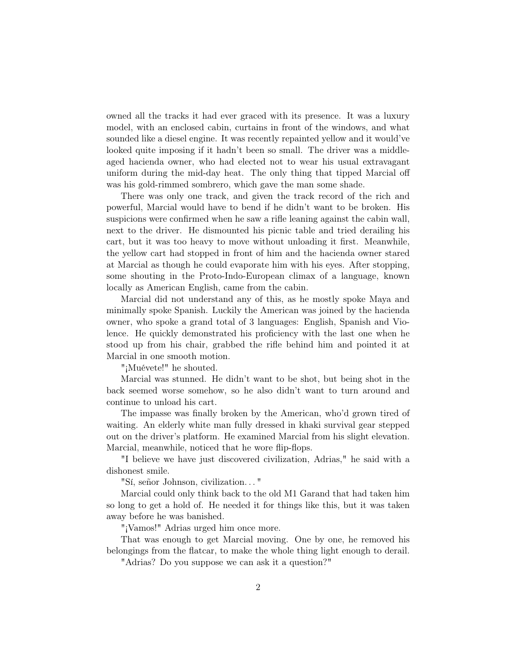owned all the tracks it had ever graced with its presence. It was a luxury model, with an enclosed cabin, curtains in front of the windows, and what sounded like a diesel engine. It was recently repainted yellow and it would've looked quite imposing if it hadn't been so small. The driver was a middleaged hacienda owner, who had elected not to wear his usual extravagant uniform during the mid-day heat. The only thing that tipped Marcial off was his gold-rimmed sombrero, which gave the man some shade.

There was only one track, and given the track record of the rich and powerful, Marcial would have to bend if he didn't want to be broken. His suspicions were confirmed when he saw a rifle leaning against the cabin wall, next to the driver. He dismounted his picnic table and tried derailing his cart, but it was too heavy to move without unloading it first. Meanwhile, the yellow cart had stopped in front of him and the hacienda owner stared at Marcial as though he could evaporate him with his eyes. After stopping, some shouting in the Proto-Indo-European climax of a language, known locally as American English, came from the cabin.

Marcial did not understand any of this, as he mostly spoke Maya and minimally spoke Spanish. Luckily the American was joined by the hacienda owner, who spoke a grand total of 3 languages: English, Spanish and Violence. He quickly demonstrated his proficiency with the last one when he stood up from his chair, grabbed the rifle behind him and pointed it at Marcial in one smooth motion.

"¡Muévete!" he shouted.

Marcial was stunned. He didn't want to be shot, but being shot in the back seemed worse somehow, so he also didn't want to turn around and continue to unload his cart.

The impasse was finally broken by the American, who'd grown tired of waiting. An elderly white man fully dressed in khaki survival gear stepped out on the driver's platform. He examined Marcial from his slight elevation. Marcial, meanwhile, noticed that he wore flip-flops.

"I believe we have just discovered civilization, Adrias," he said with a dishonest smile.

"Sí, señor Johnson, civilization. . . "

Marcial could only think back to the old M1 Garand that had taken him so long to get a hold of. He needed it for things like this, but it was taken away before he was banished.

"¡Vamos!" Adrias urged him once more.

That was enough to get Marcial moving. One by one, he removed his belongings from the flatcar, to make the whole thing light enough to derail.

"Adrias? Do you suppose we can ask it a question?"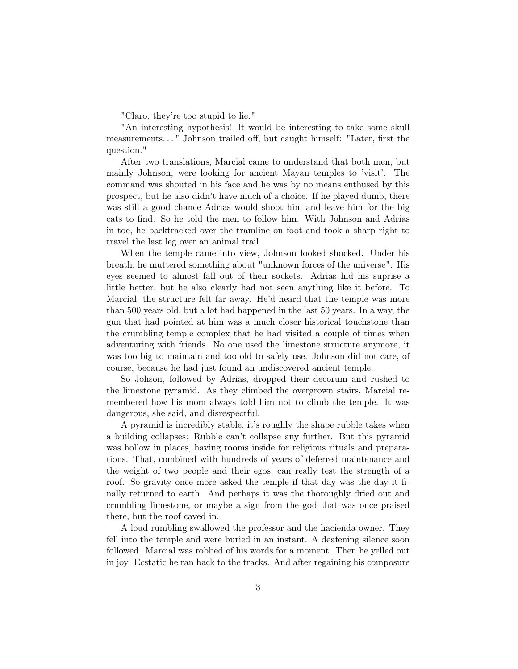"Claro, they're too stupid to lie."

"An interesting hypothesis! It would be interesting to take some skull measurements. . . " Johnson trailed off, but caught himself: "Later, first the question."

After two translations, Marcial came to understand that both men, but mainly Johnson, were looking for ancient Mayan temples to 'visit'. The command was shouted in his face and he was by no means enthused by this prospect, but he also didn't have much of a choice. If he played dumb, there was still a good chance Adrias would shoot him and leave him for the big cats to find. So he told the men to follow him. With Johnson and Adrias in toe, he backtracked over the tramline on foot and took a sharp right to travel the last leg over an animal trail.

When the temple came into view, Johnson looked shocked. Under his breath, he muttered something about "unknown forces of the universe". His eyes seemed to almost fall out of their sockets. Adrias hid his suprise a little better, but he also clearly had not seen anything like it before. To Marcial, the structure felt far away. He'd heard that the temple was more than 500 years old, but a lot had happened in the last 50 years. In a way, the gun that had pointed at him was a much closer historical touchstone than the crumbling temple complex that he had visited a couple of times when adventuring with friends. No one used the limestone structure anymore, it was too big to maintain and too old to safely use. Johnson did not care, of course, because he had just found an undiscovered ancient temple.

So Johson, followed by Adrias, dropped their decorum and rushed to the limestone pyramid. As they climbed the overgrown stairs, Marcial remembered how his mom always told him not to climb the temple. It was dangerous, she said, and disrespectful.

A pyramid is incredibly stable, it's roughly the shape rubble takes when a building collapses: Rubble can't collapse any further. But this pyramid was hollow in places, having rooms inside for religious rituals and preparations. That, combined with hundreds of years of deferred maintenance and the weight of two people and their egos, can really test the strength of a roof. So gravity once more asked the temple if that day was the day it finally returned to earth. And perhaps it was the thoroughly dried out and crumbling limestone, or maybe a sign from the god that was once praised there, but the roof caved in.

A loud rumbling swallowed the professor and the hacienda owner. They fell into the temple and were buried in an instant. A deafening silence soon followed. Marcial was robbed of his words for a moment. Then he yelled out in joy. Ecstatic he ran back to the tracks. And after regaining his composure